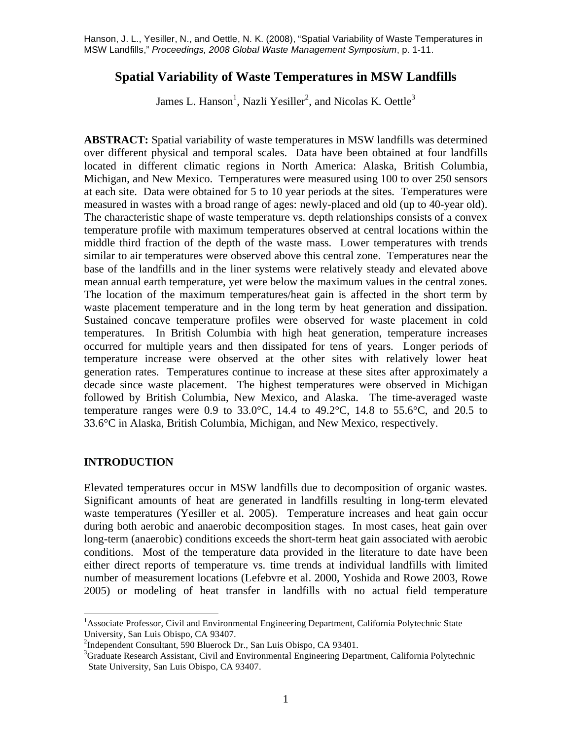## **Spatial Variability of Waste Temperatures in MSW Landfills**

James L. Hanson<sup>1</sup>, Nazli Yesiller<sup>2</sup>, and Nicolas K. Oettle<sup>3</sup>

 over different physical and temporal scales. Data have been obtained at four landfills measured in wastes with a broad range of ages: newly-placed and old (up to 40-year old). The characteristic shape of waste temperature vs. depth relationships consists of a convex similar to air temperatures were observed above this central zone. Temperatures near the mean annual earth temperature, yet were below the maximum values in the central zones. The location of the maximum temperatures/heat gain is affected in the short term by waste placement temperature and in the long term by heat generation and dissipation. **ABSTRACT:** Spatial variability of waste temperatures in MSW landfills was determined located in different climatic regions in North America: Alaska, British Columbia, Michigan, and New Mexico. Temperatures were measured using 100 to over 250 sensors at each site. Data were obtained for 5 to 10 year periods at the sites. Temperatures were temperature profile with maximum temperatures observed at central locations within the middle third fraction of the depth of the waste mass. Lower temperatures with trends base of the landfills and in the liner systems were relatively steady and elevated above Sustained concave temperature profiles were observed for waste placement in cold temperatures. In British Columbia with high heat generation, temperature increases occurred for multiple years and then dissipated for tens of years. Longer periods of temperature increase were observed at the other sites with relatively lower heat generation rates. Temperatures continue to increase at these sites after approximately a decade since waste placement. The highest temperatures were observed in Michigan followed by British Columbia, New Mexico, and Alaska. The time-averaged waste temperature ranges were 0.9 to 33.0°C, 14.4 to 49.2°C, 14.8 to 55.6°C, and 20.5 to 33.6°C in Alaska, British Columbia, Michigan, and New Mexico, respectively.

### **INTRODUCTION**

 waste temperatures (Yesiller et al. 2005). Temperature increases and heat gain occur Elevated temperatures occur in MSW landfills due to decomposition of organic wastes. Significant amounts of heat are generated in landfills resulting in long-term elevated during both aerobic and anaerobic decomposition stages. In most cases, heat gain over long-term (anaerobic) conditions exceeds the short-term heat gain associated with aerobic conditions. Most of the temperature data provided in the literature to date have been either direct reports of temperature vs. time trends at individual landfills with limited number of measurement locations (Lefebvre et al. 2000, Yoshida and Rowe 2003, Rowe 2005) or modeling of heat transfer in landfills with no actual field temperature

<sup>&</sup>lt;sup>1</sup><br><sup>1</sup> Associate Professor, Civil and Environmental Engineering Department, California Polytechnic State University, San Luis Obispo, CA 93407.

<sup>&</sup>lt;sup>2</sup>Independent Consultant, 590 Bluerock Dr., San Luis Obispo, CA 93401.

 Graduate Research Assistant, Civil and Environmental Engineering Department, California Polytechnic State University, San Luis Obispo, CA 93407.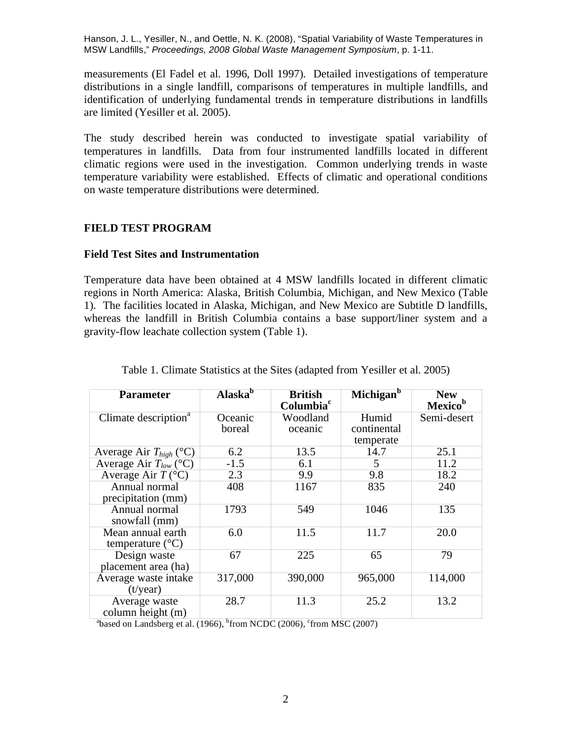measurements (El Fadel et al. 1996, Doll 1997). Detailed investigations of temperature are limited (Yesiller et al. 2005). distributions in a single landfill, comparisons of temperatures in multiple landfills, and identification of underlying fundamental trends in temperature distributions in landfills

The study described herein was conducted to investigate spatial variability of temperatures in landfills. Data from four instrumented landfills located in different climatic regions were used in the investigation. Common underlying trends in waste temperature variability were established. Effects of climatic and operational conditions on waste temperature distributions were determined.

## **FIELD TEST PROGRAM**

### **Field Test Sites and Instrumentation**

 gravity-flow leachate collection system (Table 1). Table 1. Climate Statistics at the Sites (adapted from Yesiller et al. 2005) Temperature data have been obtained at 4 MSW landfills located in different climatic regions in North America: Alaska, British Columbia, Michigan, and New Mexico (Table 1). The facilities located in Alaska, Michigan, and New Mexico are Subtitle D landfills, whereas the landfill in British Columbia contains a base support/liner system and a

| <b>Parameter</b>                               | Alaska <sup>b</sup> | <b>British</b><br>Columbia <sup>c</sup> | Michigan <sup>b</sup> | <b>New</b><br><b>Mexico</b> <sup>b</sup> |
|------------------------------------------------|---------------------|-----------------------------------------|-----------------------|------------------------------------------|
| Climate description <sup>a</sup>               | Oceanic<br>boreal   | Woodland<br>oceanic                     | Humid<br>continental  | Semi-desert                              |
|                                                |                     |                                         | temperate             |                                          |
| Average Air $T_{high}$ (°C)                    | 6.2                 | 13.5                                    | 14.7                  | 25.1                                     |
| Average Air $T_{low}$ (°C)                     | $-1.5$              | 6.1                                     | 5                     | 11.2                                     |
| Average Air $T$ (°C)                           | 2.3                 | 9.9                                     | 9.8                   | 18.2                                     |
| Annual normal<br>precipitation (mm)            | 408                 | 1167                                    | 835                   | 240                                      |
| Annual normal<br>snowfall (mm)                 | 1793                | 549                                     | 1046                  | 135                                      |
| Mean annual earth<br>temperature $(^{\circ}C)$ | 6.0                 | 11.5                                    | 11.7                  | 20.0                                     |
| Design waste<br>placement area (ha)            | 67                  | 225                                     | 65                    | 79                                       |
| Average waste intake<br>$(t/\text{year})$      | 317,000             | 390,000                                 | 965,000               | 114,000                                  |
| Average waste<br>column height (m)             | 28.7                | 11.3                                    | 25.2                  | 13.2                                     |

<sup>a</sup>based on Landsberg et al. (1966), <sup>b</sup>from NCDC (2006), <sup>c</sup>from MSC (2007)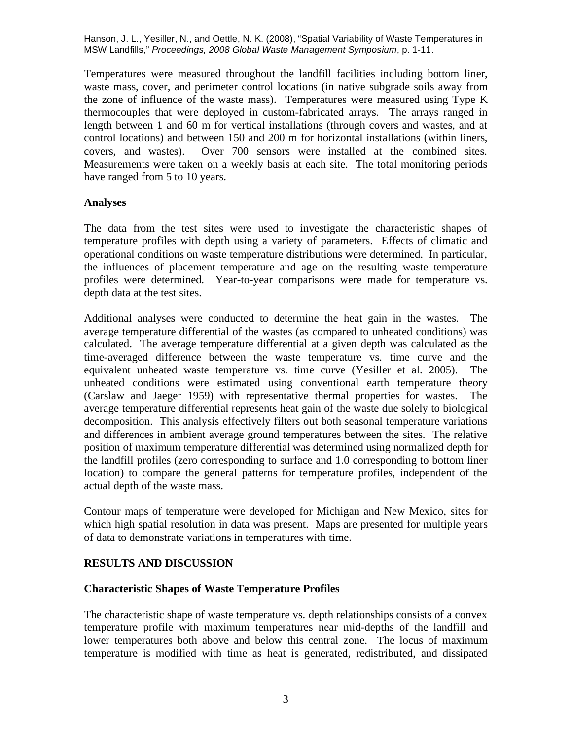Over 700 sensors were installed at the combined sites. Temperatures were measured throughout the landfill facilities including bottom liner, waste mass, cover, and perimeter control locations (in native subgrade soils away from the zone of influence of the waste mass). Temperatures were measured using Type K thermocouples that were deployed in custom-fabricated arrays. The arrays ranged in length between 1 and 60 m for vertical installations (through covers and wastes, and at control locations) and between 150 and 200 m for horizontal installations (within liners, covers, and wastes). Over 700 sensors were installed at the combined sites. Measurements were taken on a weekly basis at each site. The total monitoring periods have ranged from 5 to 10 years.

### **Analyses**

depth data at the test sites. The data from the test sites were used to investigate the characteristic shapes of temperature profiles with depth using a variety of parameters. Effects of climatic and operational conditions on waste temperature distributions were determined. In particular, the influences of placement temperature and age on the resulting waste temperature profiles were determined. Year-to-year comparisons were made for temperature vs.

 equivalent unheated waste temperature vs. time curve (Yesiller et al. 2005). The actual depth of the waste mass. Additional analyses were conducted to determine the heat gain in the wastes. The average temperature differential of the wastes (as compared to unheated conditions) was calculated. The average temperature differential at a given depth was calculated as the time-averaged difference between the waste temperature vs. time curve and the unheated conditions were estimated using conventional earth temperature theory (Carslaw and Jaeger 1959) with representative thermal properties for wastes. The average temperature differential represents heat gain of the waste due solely to biological decomposition. This analysis effectively filters out both seasonal temperature variations and differences in ambient average ground temperatures between the sites. The relative position of maximum temperature differential was determined using normalized depth for the landfill profiles (zero corresponding to surface and 1.0 corresponding to bottom liner location) to compare the general patterns for temperature profiles, independent of the

 of data to demonstrate variations in temperatures with time. Contour maps of temperature were developed for Michigan and New Mexico, sites for which high spatial resolution in data was present. Maps are presented for multiple years

# **RESULTS AND DISCUSSION**

### **Characteristic Shapes of Waste Temperature Profiles**

 temperature profile with maximum temperatures near mid-depths of the landfill and lower temperatures both above and below this central zone. The locus of maximum The characteristic shape of waste temperature vs. depth relationships consists of a convex temperature is modified with time as heat is generated, redistributed, and dissipated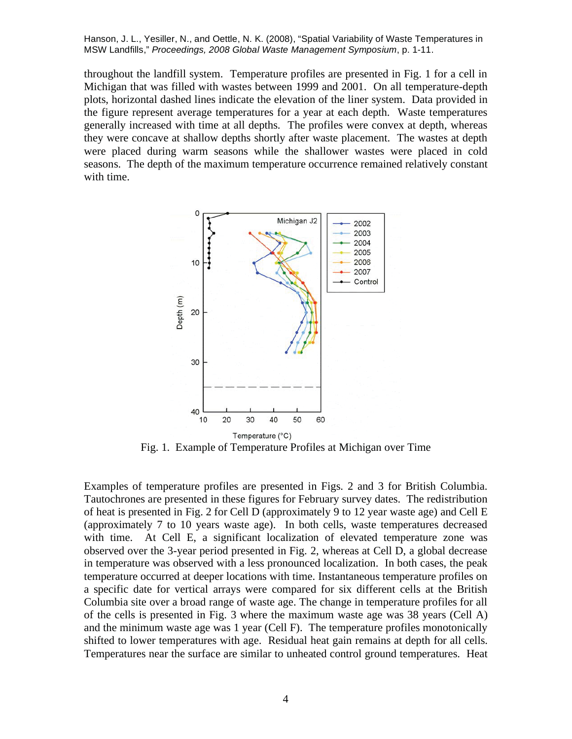with time. throughout the landfill system. Temperature profiles are presented in Fig. 1 for a cell in Michigan that was filled with wastes between 1999 and 2001. On all temperature-depth plots, horizontal dashed lines indicate the elevation of the liner system. Data provided in the figure represent average temperatures for a year at each depth. Waste temperatures generally increased with time at all depths. The profiles were convex at depth, whereas they were concave at shallow depths shortly after waste placement. The wastes at depth were placed during warm seasons while the shallower wastes were placed in cold seasons. The depth of the maximum temperature occurrence remained relatively constant



Fig. 1. Example of Temperature Profiles at Michigan over Time

 Examples of temperature profiles are presented in Figs. 2 and 3 for British Columbia. Tautochrones are presented in these figures for February survey dates. The redistribution shifted to lower temperatures with age. Residual heat gain remains at depth for all cells. Temperatures near the surface are similar to unheated control ground temperatures. Heat of heat is presented in Fig. 2 for Cell D (approximately 9 to 12 year waste age) and Cell E (approximately 7 to 10 years waste age). In both cells, waste temperatures decreased with time. At Cell E, a significant localization of elevated temperature zone was observed over the 3-year period presented in Fig. 2, whereas at Cell D, a global decrease in temperature was observed with a less pronounced localization. In both cases, the peak temperature occurred at deeper locations with time. Instantaneous temperature profiles on a specific date for vertical arrays were compared for six different cells at the British Columbia site over a broad range of waste age. The change in temperature profiles for all of the cells is presented in Fig. 3 where the maximum waste age was 38 years (Cell A) and the minimum waste age was 1 year (Cell F). The temperature profiles monotonically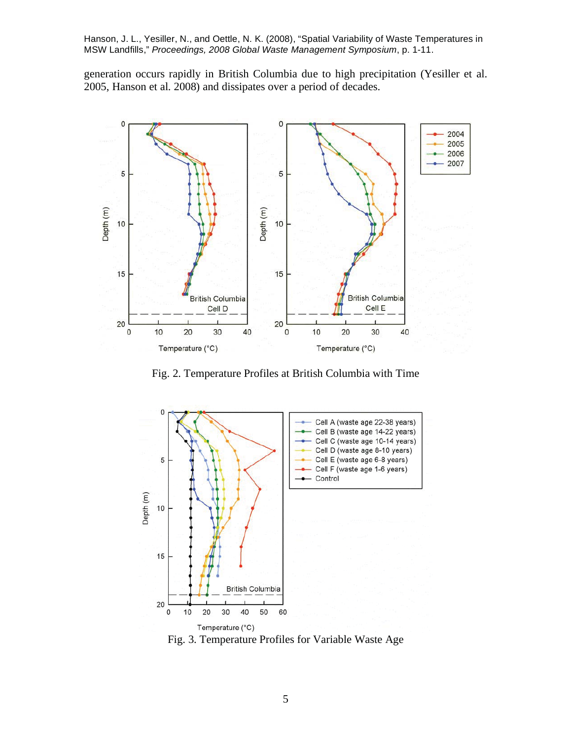generation occurs rapidly in British Columbia due to high precipitation (Yesiller et al. 2005, Hanson et al. 2008) and dissipates over a period of decades.



Fig. 2. Temperature Profiles at British Columbia with Time



Fig. 3. Temperature Profiles for Variable Waste Age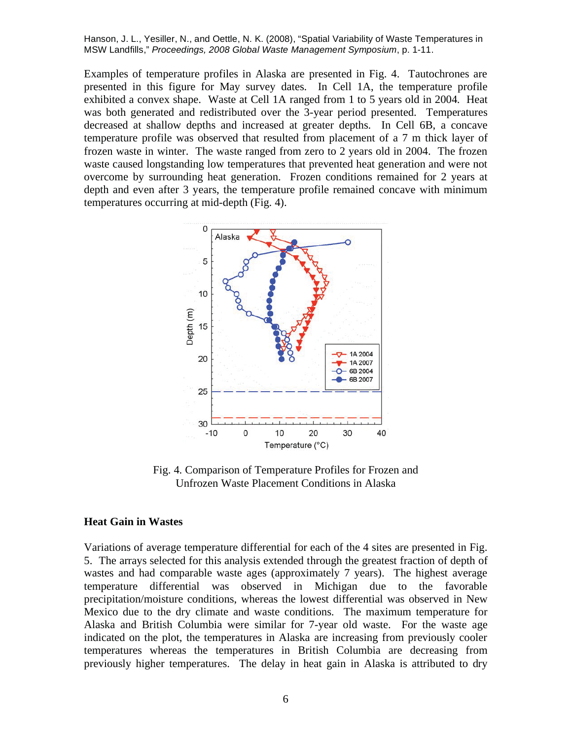overcome by surrounding heat generation. Frozen conditions remained for 2 years at temperatures occurring at mid-depth (Fig. 4). Examples of temperature profiles in Alaska are presented in Fig. 4. Tautochrones are presented in this figure for May survey dates. In Cell 1A, the temperature profile exhibited a convex shape. Waste at Cell 1A ranged from 1 to 5 years old in 2004. Heat was both generated and redistributed over the 3-year period presented. Temperatures decreased at shallow depths and increased at greater depths. In Cell 6B, a concave temperature profile was observed that resulted from placement of a 7 m thick layer of frozen waste in winter. The waste ranged from zero to 2 years old in 2004. The frozen waste caused longstanding low temperatures that prevented heat generation and were not depth and even after 3 years, the temperature profile remained concave with minimum



Unfrozen Waste Placement Conditions in Alaska

#### **Heat Gain in Wastes**

 previously higher temperatures. The delay in heat gain in Alaska is attributed to dry Variations of average temperature differential for each of the 4 sites are presented in Fig. 5. The arrays selected for this analysis extended through the greatest fraction of depth of wastes and had comparable waste ages (approximately 7 years). The highest average temperature differential was observed in Michigan due to the favorable precipitation/moisture conditions, whereas the lowest differential was observed in New Mexico due to the dry climate and waste conditions. The maximum temperature for Alaska and British Columbia were similar for 7-year old waste. For the waste age indicated on the plot, the temperatures in Alaska are increasing from previously cooler temperatures whereas the temperatures in British Columbia are decreasing from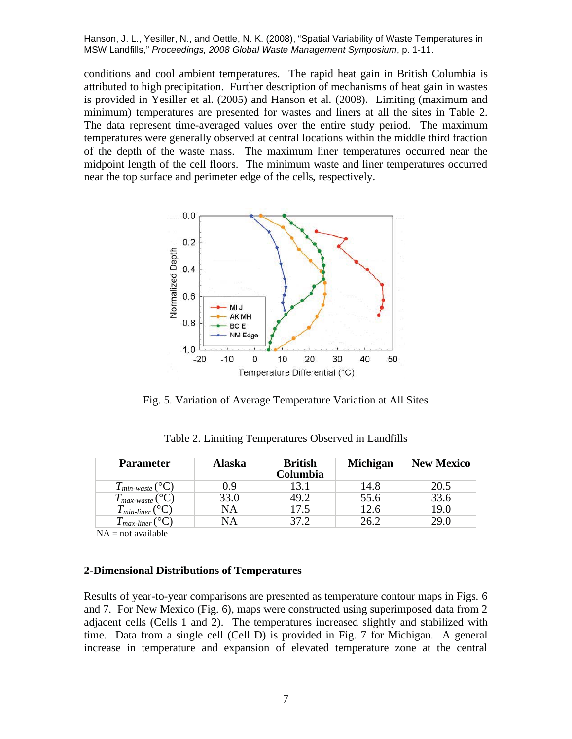is provided in Yesiller et al. (2005) and Hanson et al. (2008). Limiting (maximum and minimum) temperatures are presented for wastes and liners at all the sites in Table 2. conditions and cool ambient temperatures. The rapid heat gain in British Columbia is attributed to high precipitation. Further description of mechanisms of heat gain in wastes The data represent time-averaged values over the entire study period. The maximum temperatures were generally observed at central locations within the middle third fraction of the depth of the waste mass. The maximum liner temperatures occurred near the midpoint length of the cell floors. The minimum waste and liner temperatures occurred near the top surface and perimeter edge of the cells, respectively.



Fig. 5. Variation of Average Temperature Variation at All Sites

| <b>Parameter</b>               | <b>Alaska</b> | <b>British</b><br>Columbia | <b>Michigan</b> | <b>New Mexico</b> |
|--------------------------------|---------------|----------------------------|-----------------|-------------------|
| $T_{min\text{-}waste}$ (°C)    | 0.9           | 13.1                       | 14.8            | 20.5              |
| $T_{max\text{-}waste}$ (°C)    | 33.0          | 49.2                       | 55.6            | 33.6              |
| $T_{min-linear} ({}^{\circ}C)$ | NA            | 17.5                       | 12.6            | 19.0              |
| $T_{max-linear}$               | NA            | 37.2                       | 26.2            | 29.0              |

Table 2. Limiting Temperatures Observed in Landfills

 $NA = not available$ 

### **2-Dimensional Distributions of Temperatures**

 Results of year-to-year comparisons are presented as temperature contour maps in Figs. 6 increase in temperature and expansion of elevated temperature zone at the central 7 and 7. For New Mexico (Fig. 6), maps were constructed using superimposed data from 2 adjacent cells (Cells 1 and 2). The temperatures increased slightly and stabilized with time. Data from a single cell (Cell D) is provided in Fig. 7 for Michigan. A general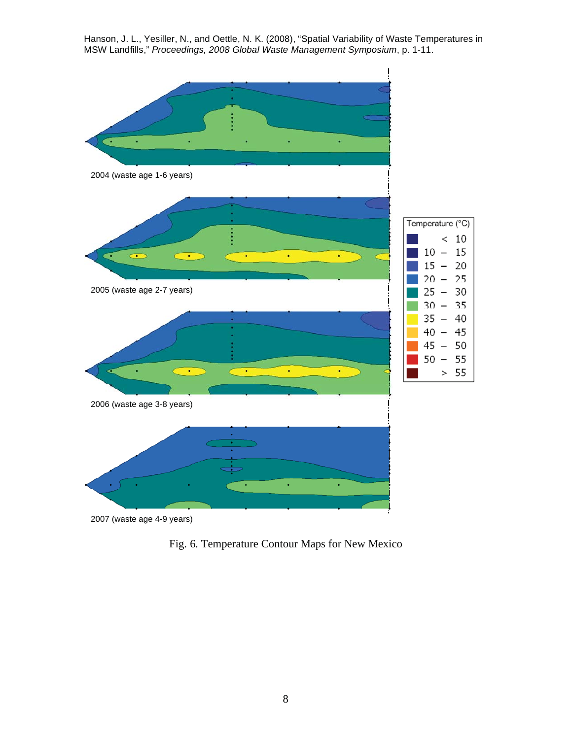

Fig. 6. Temperature Contour Maps for New Mexico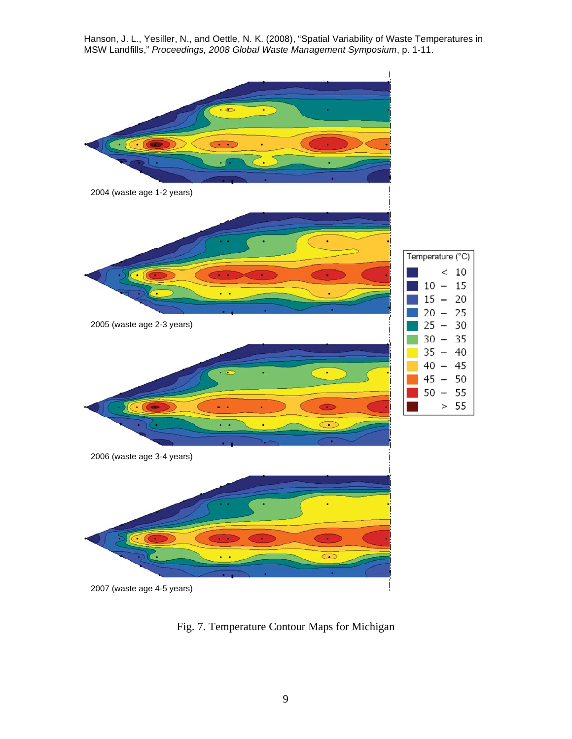

Fig. 7. Temperature Contour Maps for Michigan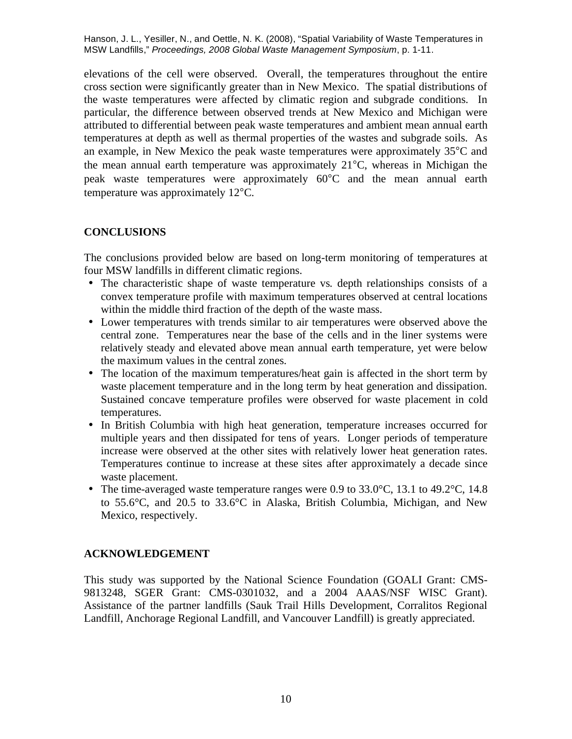elevations of the cell were observed. Overall, the temperatures throughout the entire cross section were significantly greater than in New Mexico. The spatial distributions of the waste temperatures were affected by climatic region and subgrade conditions. In particular, the difference between observed trends at New Mexico and Michigan were attributed to differential between peak waste temperatures and ambient mean annual earth temperatures at depth as well as thermal properties of the wastes and subgrade soils. As an example, in New Mexico the peak waste temperatures were approximately 35°C and the mean annual earth temperature was approximately 21°C, whereas in Michigan the peak waste temperatures were approximately 60°C and the mean annual earth temperature was approximately 12°C.

# **CONCLUSIONS**

 four MSW landfills in different climatic regions. The conclusions provided below are based on long-term monitoring of temperatures at

- within the middle third fraction of the depth of the waste mass. • The characteristic shape of waste temperature vs. depth relationships consists of a convex temperature profile with maximum temperatures observed at central locations
- the maximum values in the central zones. • Lower temperatures with trends similar to air temperatures were observed above the central zone. Temperatures near the base of the cells and in the liner systems were relatively steady and elevated above mean annual earth temperature, yet were below
- waste placement temperature and in the long term by heat generation and dissipation. temperatures. • The location of the maximum temperatures/heat gain is affected in the short term by Sustained concave temperature profiles were observed for waste placement in cold
- increase were observed at the other sites with relatively lower heat generation rates. Temperatures continue to increase at these sites after approximately a decade since waste placement. • In British Columbia with high heat generation, temperature increases occurred for multiple years and then dissipated for tens of years. Longer periods of temperature
- The time-averaged waste temperature ranges were 0.9 to  $33.0^{\circ}$ C, 13.1 to  $49.2^{\circ}$ C, 14.8 to 55.6°C, and 20.5 to 33.6°C in Alaska, British Columbia, Michigan, and New Mexico, respectively.

# **ACKNOWLEDGEMENT**

9813248, SGER Grant: CMS-0301032, and a 2004 AAAS/NSF WISC Grant). 9813248, SGER Grant: CMS-0301032, and a 2004 AAAS/NSF WISC Grant). Assistance of the partner landfills (Sauk Trail Hills Development, Corralitos Regional Landfill, Anchorage Regional Landfill, and Vancouver Landfill) is greatly appreciated.<br>
10 This study was supported by the National Science Foundation (GOALI Grant: CMS-